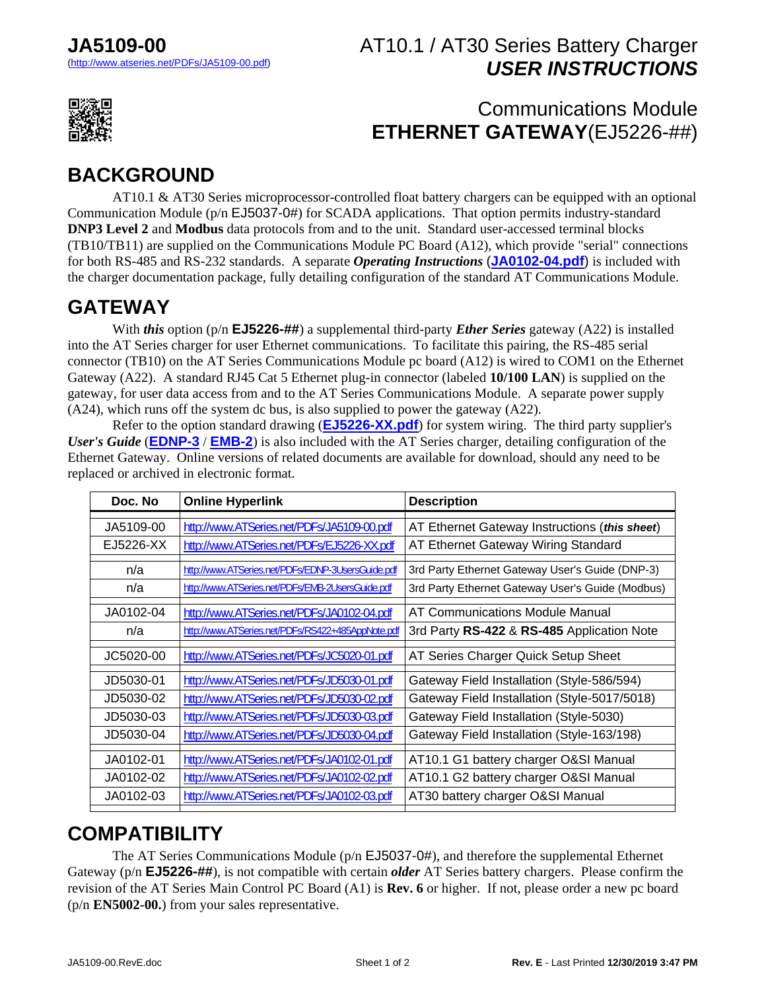#### AT10.1 / AT30 Series Battery Charger *USER INSTRUCTIONS*



#### Communications Module **ETHERNET GATEWAY**(EJ5226-##)

### **BACKGROUND**

 AT10.1 & AT30 Series microprocessor-controlled float battery chargers can be equipped with an optional Communication Module (p/n EJ5037-0#) for SCADA applications. That option permits industry-standard **DNP3 Level 2** and **Modbus** data protocols from and to the unit. Standard user-accessed terminal blocks (TB10/TB11) are supplied on the Communications Module PC Board (A12), which provide "serial" connections for both RS-485 and RS-232 standards. A separate *Operating Instructions* (**[JA0102-04.pdf](http://www.atseries.net/PDFs/JA0102-04.pdf)**) is included with the charger documentation package, fully detailing configuration of the standard AT Communications Module.

# **GATEWAY**

 With *this* option (p/n **EJ5226-##**) a supplemental third-party *Ether Series* gateway (A22) is installed into the AT Series charger for user Ethernet communications. To facilitate this pairing, the RS-485 serial connector (TB10) on the AT Series Communications Module pc board (A12) is wired to COM1 on the Ethernet Gateway (A22). A standard RJ45 Cat 5 Ethernet plug-in connector (labeled **10/100 LAN**) is supplied on the gateway, for user data access from and to the AT Series Communications Module. A separate power supply (A24), which runs off the system dc bus, is also supplied to power the gateway (A22).

 Refer to the option standard drawing (**[EJ5226-XX.pdf](http://www.atseries.net/PDFs/EJ5226-XX.pdf)**) for system wiring. The third party supplier's *User's Guide* (**[EDNP-3](http://www.atseries.net/PDFs/EDNP-3UsersGuide.pdf)** / **[EMB-2](http://www.atseries.net/PDFs/EMB-2UsersGuide.pdf)**) is also included with the AT Series charger, detailing configuration of the Ethernet Gateway. Online versions of related documents are available for download, should any need to be replaced or archived in electronic format.

| Doc. No   | <b>Online Hyperlink</b>                           | <b>Description</b>                               |
|-----------|---------------------------------------------------|--------------------------------------------------|
| JA5109-00 | http://www.ATSeries.net/PDFs/JA5109-00.pdf        | AT Ethernet Gateway Instructions (this sheet)    |
| EJ5226-XX | http://www.ATSeries.net/PDFs/EJ5226-XX.pdf        | AT Ethernet Gateway Wiring Standard              |
| n/a       | http://www.ATSeries.net/PDFs/EDNP-3UsersGuide.pdf | 3rd Party Ethernet Gateway User's Guide (DNP-3)  |
| n/a       | http://www.ATSeries.net/PDFs/EMB-2UsersGuide.pdf  | 3rd Party Ethernet Gateway User's Guide (Modbus) |
| JA0102-04 | http://www.ATSeries.net/PDFs/JA0102-04.pdf        | AT Communications Module Manual                  |
| n/a       | http://www.ATSeries.net/PDFs/RS422+485AppNote.pdf | 3rd Party RS-422 & RS-485 Application Note       |
| JC5020-00 | http://www.ATSeries.net/PDFs/JC5020-01.pdf        | AT Series Charger Quick Setup Sheet              |
| JD5030-01 | http://www.ATSeries.net/PDFs/JD5030-01.pdf        | Gateway Field Installation (Style-586/594)       |
| JD5030-02 | http://www.ATSeries.net/PDFs/JD5030-02.pdf        | Gateway Field Installation (Style-5017/5018)     |
| JD5030-03 | http://www.ATSeries.net/PDFs/JD5030-03.pdf        | Gateway Field Installation (Style-5030)          |
| JD5030-04 | http://www.ATSeries.net/PDFs/JD5030-04.pdf        | Gateway Field Installation (Style-163/198)       |
| JA0102-01 | http://www.ATSeries.net/PDFs/JA0102-01.pdf        | AT10.1 G1 battery charger O&SI Manual            |
| JA0102-02 | http://www.ATSeries.net/PDFs/JA0102-02.pdf        | AT10.1 G2 battery charger O&SI Manual            |
| JA0102-03 | http://www.ATSeries.net/PDFs/JA0102-03.pdf        | AT30 battery charger O&SI Manual                 |
|           |                                                   |                                                  |

### **COMPATIBILITY**

 The AT Series Communications Module (p/n EJ5037-0#), and therefore the supplemental Ethernet Gateway (p/n **EJ5226-##**), is not compatible with certain *older* AT Series battery chargers. Please confirm the revision of the AT Series Main Control PC Board (A1) is **Rev. 6** or higher. If not, please order a new pc board (p/n **EN5002-00.**) from your sales representative.